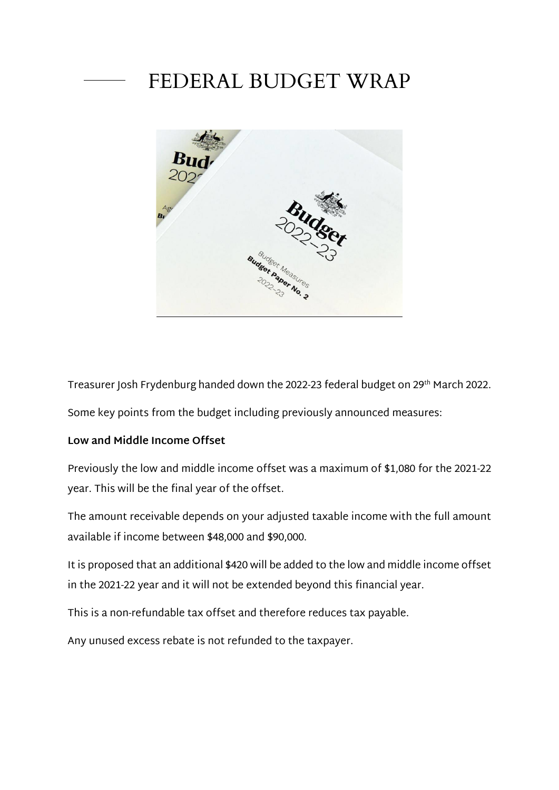# FEDERAL BUDGET WRAP



Treasurer Josh Frydenburg handed down the 2022-23 federal budget on 29th March 2022.

Some key points from the budget including previously announced measures:

#### **Low and Middle Income Offset**

Previously the low and middle income offset was a maximum of \$1,080 for the 2021-22 year. This will be the final year of the offset.

The amount receivable depends on your adjusted taxable income with the full amount available if income between \$48,000 and \$90,000.

It is proposed that an additional \$420 will be added to the low and middle income offset in the 2021-22 year and it will not be extended beyond this financial year.

This is a non-refundable tax offset and therefore reduces tax payable.

Any unused excess rebate is not refunded to the taxpayer.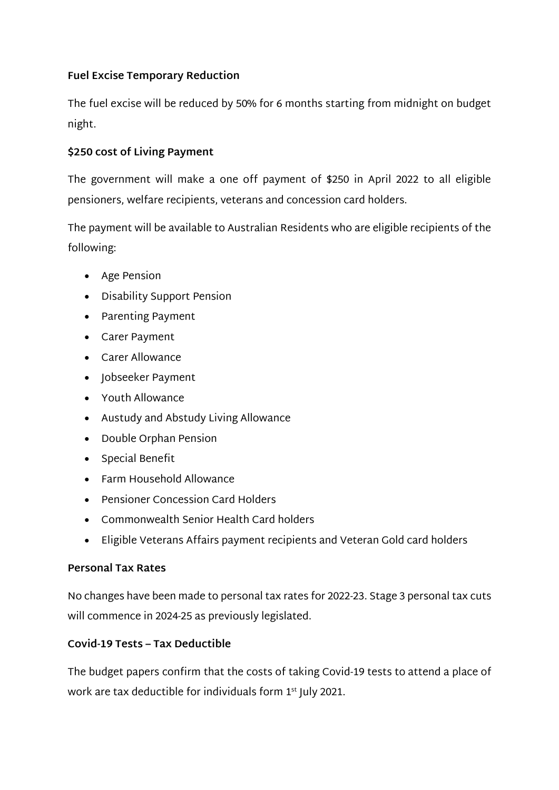# **Fuel Excise Temporary Reduction**

The fuel excise will be reduced by 50% for 6 months starting from midnight on budget night.

## **\$250 cost of Living Payment**

The government will make a one off payment of \$250 in April 2022 to all eligible pensioners, welfare recipients, veterans and concession card holders.

The payment will be available to Australian Residents who are eligible recipients of the following:

- Age Pension
- Disability Support Pension
- Parenting Payment
- Carer Payment
- Carer Allowance
- Jobseeker Payment
- Youth Allowance
- Austudy and Abstudy Living Allowance
- Double Orphan Pension
- Special Benefit
- Farm Household Allowance
- Pensioner Concession Card Holders
- Commonwealth Senior Health Card holders
- Eligible Veterans Affairs payment recipients and Veteran Gold card holders

### **Personal Tax Rates**

No changes have been made to personal tax rates for 2022-23. Stage 3 personal tax cuts will commence in 2024-25 as previously legislated.

### **Covid-19 Tests – Tax Deductible**

The budget papers confirm that the costs of taking Covid-19 tests to attend a place of work are tax deductible for individuals form 1<sup>st</sup> July 2021.